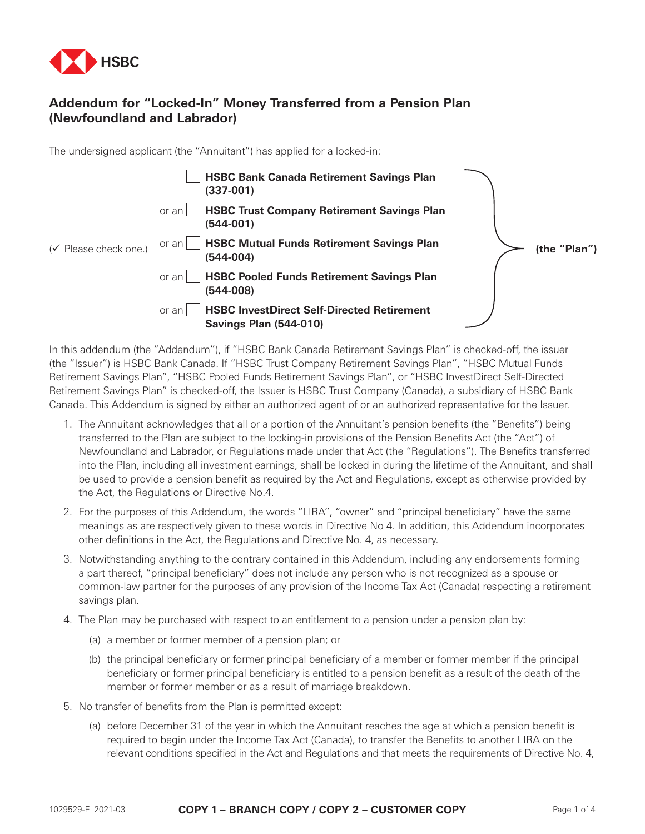

## **Addendum for "Locked-In" Money Transferred from a Pension Plan (Newfoundland and Labrador)**

The undersigned applicant (the "Annuitant") has applied for a locked-in:

|                                   | <b>HSBC Bank Canada Retirement Savings Plan</b><br>$(337-001)$                              |              |
|-----------------------------------|---------------------------------------------------------------------------------------------|--------------|
|                                   | <b>HSBC Trust Company Retirement Savings Plan</b><br>or an<br>$(544 - 001)$                 |              |
| $(\checkmark)$ Please check one.) | <b>HSBC Mutual Funds Retirement Savings Plan</b><br>or an<br>$(544-004)$                    | (the "Plan") |
|                                   | <b>HSBC Pooled Funds Retirement Savings Plan</b><br>or an<br>$(544-008)$                    |              |
|                                   | <b>HSBC InvestDirect Self-Directed Retirement</b><br>or an<br><b>Savings Plan (544-010)</b> |              |

In this addendum (the "Addendum"), if "HSBC Bank Canada Retirement Savings Plan" is checked-off, the issuer (the "Issuer") is HSBC Bank Canada. If "HSBC Trust Company Retirement Savings Plan", "HSBC Mutual Funds Retirement Savings Plan", "HSBC Pooled Funds Retirement Savings Plan", or "HSBC InvestDirect Self-Directed Retirement Savings Plan" is checked-off, the Issuer is HSBC Trust Company (Canada), a subsidiary of HSBC Bank Canada. This Addendum is signed by either an authorized agent of or an authorized representative for the Issuer.

- 1. The Annuitant acknowledges that all or a portion of the Annuitant's pension benefits (the "Benefits") being transferred to the Plan are subject to the locking-in provisions of the Pension Benefits Act (the "Act") of Newfoundland and Labrador, or Regulations made under that Act (the "Regulations"). The Benefits transferred into the Plan, including all investment earnings, shall be locked in during the lifetime of the Annuitant, and shall be used to provide a pension benefit as required by the Act and Regulations, except as otherwise provided by the Act, the Regulations or Directive No.4.
- 2. For the purposes of this Addendum, the words "LIRA", "owner" and "principal beneficiary" have the same meanings as are respectively given to these words in Directive No 4. In addition, this Addendum incorporates other definitions in the Act, the Regulations and Directive No. 4, as necessary.
- 3. Notwithstanding anything to the contrary contained in this Addendum, including any endorsements forming a part thereof, "principal beneficiary" does not include any person who is not recognized as a spouse or common-law partner for the purposes of any provision of the Income Tax Act (Canada) respecting a retirement savings plan.
- 4. The Plan may be purchased with respect to an entitlement to a pension under a pension plan by:
	- (a) a member or former member of a pension plan; or
	- (b) the principal beneficiary or former principal beneficiary of a member or former member if the principal beneficiary or former principal beneficiary is entitled to a pension benefit as a result of the death of the member or former member or as a result of marriage breakdown.
- 5. No transfer of benefits from the Plan is permitted except:
	- (a) before December 31 of the year in which the Annuitant reaches the age at which a pension benefit is required to begin under the Income Tax Act (Canada), to transfer the Benefits to another LIRA on the relevant conditions specified in the Act and Regulations and that meets the requirements of Directive No. 4,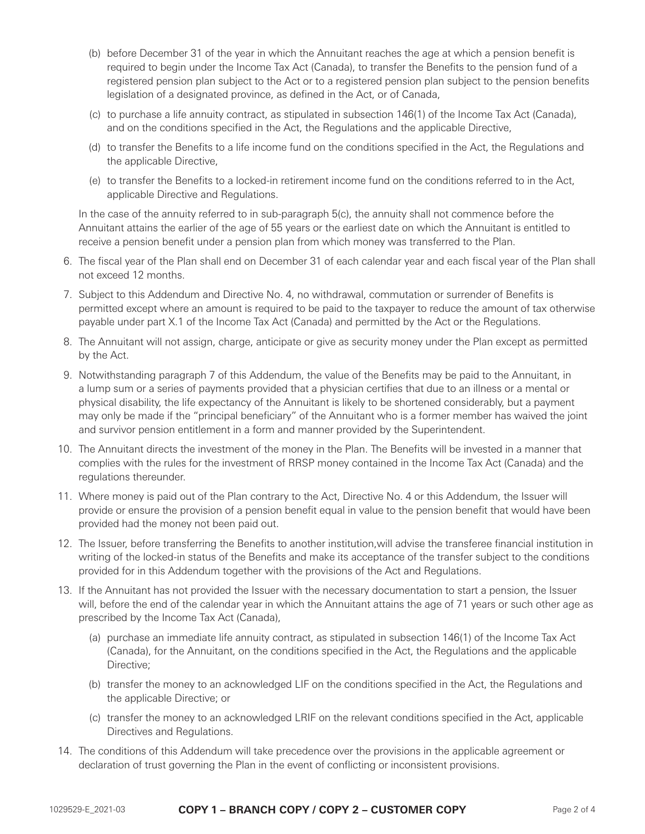- (b) before December 31 of the year in which the Annuitant reaches the age at which a pension benefit is required to begin under the Income Tax Act (Canada), to transfer the Benefits to the pension fund of a registered pension plan subject to the Act or to a registered pension plan subject to the pension benefits legislation of a designated province, as defined in the Act, or of Canada,
- (c) to purchase a life annuity contract, as stipulated in subsection 146(1) of the Income Tax Act (Canada), and on the conditions specified in the Act, the Regulations and the applicable Directive,
- (d) to transfer the Benefits to a life income fund on the conditions specified in the Act, the Regulations and the applicable Directive,
- (e) to transfer the Benefits to a locked-in retirement income fund on the conditions referred to in the Act, applicable Directive and Regulations.

 In the case of the annuity referred to in sub-paragraph 5(c), the annuity shall not commence before the Annuitant attains the earlier of the age of 55 years or the earliest date on which the Annuitant is entitled to receive a pension benefit under a pension plan from which money was transferred to the Plan.

- 6. The fiscal year of the Plan shall end on December 31 of each calendar year and each fiscal year of the Plan shall not exceed 12 months.
- 7. Subject to this Addendum and Directive No. 4, no withdrawal, commutation or surrender of Benefits is permitted except where an amount is required to be paid to the taxpayer to reduce the amount of tax otherwise payable under part X.1 of the Income Tax Act (Canada) and permitted by the Act or the Regulations.
- 8. The Annuitant will not assign, charge, anticipate or give as security money under the Plan except as permitted by the Act.
- 9. Notwithstanding paragraph 7 of this Addendum, the value of the Benefits may be paid to the Annuitant, in a lump sum or a series of payments provided that a physician certifies that due to an illness or a mental or physical disability, the life expectancy of the Annuitant is likely to be shortened considerably, but a payment may only be made if the "principal beneficiary" of the Annuitant who is a former member has waived the joint and survivor pension entitlement in a form and manner provided by the Superintendent.
- 10. The Annuitant directs the investment of the money in the Plan. The Benefits will be invested in a manner that complies with the rules for the investment of RRSP money contained in the Income Tax Act (Canada) and the regulations thereunder.
- 11. Where money is paid out of the Plan contrary to the Act, Directive No. 4 or this Addendum, the Issuer will provide or ensure the provision of a pension benefit equal in value to the pension benefit that would have been provided had the money not been paid out.
- 12. The Issuer, before transferring the Benefits to another institution,will advise the transferee financial institution in writing of the locked-in status of the Benefits and make its acceptance of the transfer subject to the conditions provided for in this Addendum together with the provisions of the Act and Regulations.
- 13. If the Annuitant has not provided the Issuer with the necessary documentation to start a pension, the Issuer will, before the end of the calendar year in which the Annuitant attains the age of 71 years or such other age as prescribed by the Income Tax Act (Canada),
	- (a) purchase an immediate life annuity contract, as stipulated in subsection 146(1) of the Income Tax Act (Canada), for the Annuitant, on the conditions specified in the Act, the Regulations and the applicable Directive;
	- (b) transfer the money to an acknowledged LIF on the conditions specified in the Act, the Regulations and the applicable Directive; or
	- (c) transfer the money to an acknowledged LRIF on the relevant conditions specified in the Act, applicable Directives and Regulations.
- 14. The conditions of this Addendum will take precedence over the provisions in the applicable agreement or declaration of trust governing the Plan in the event of conflicting or inconsistent provisions.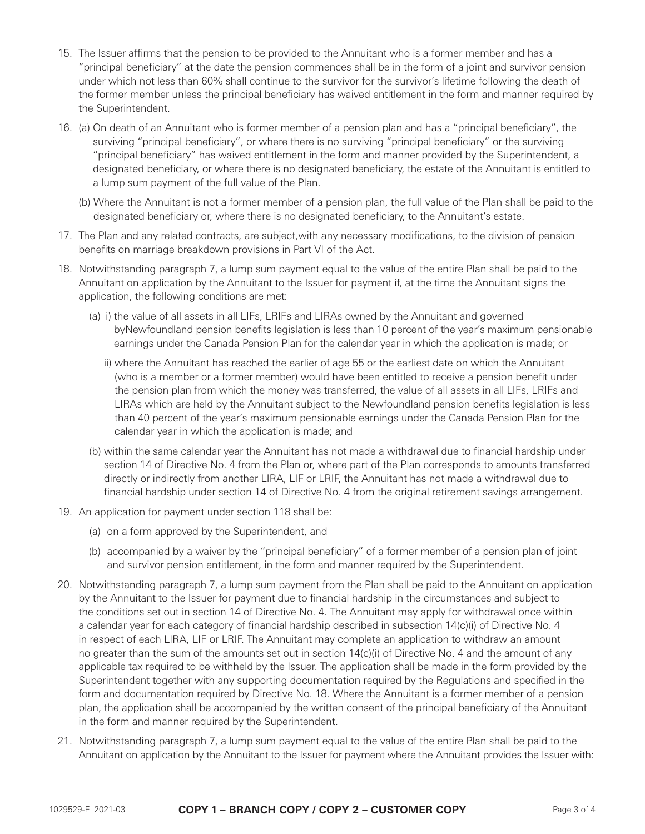- 15. The Issuer affirms that the pension to be provided to the Annuitant who is a former member and has a "principal beneficiary" at the date the pension commences shall be in the form of a joint and survivor pension under which not less than 60% shall continue to the survivor for the survivor's lifetime following the death of the former member unless the principal beneficiary has waived entitlement in the form and manner required by the Superintendent.
- 16. (a) On death of an Annuitant who is former member of a pension plan and has a "principal beneficiary", the surviving "principal beneficiary", or where there is no surviving "principal beneficiary" or the surviving "principal beneficiary" has waived entitlement in the form and manner provided by the Superintendent, a designated beneficiary, or where there is no designated beneficiary, the estate of the Annuitant is entitled to a lump sum payment of the full value of the Plan.
	- (b) Where the Annuitant is not a former member of a pension plan, the full value of the Plan shall be paid to the designated beneficiary or, where there is no designated beneficiary, to the Annuitant's estate.
- 17. The Plan and any related contracts, are subject,with any necessary modifications, to the division of pension benefits on marriage breakdown provisions in Part VI of the Act.
- 18. Notwithstanding paragraph 7, a lump sum payment equal to the value of the entire Plan shall be paid to the Annuitant on application by the Annuitant to the Issuer for payment if, at the time the Annuitant signs the application, the following conditions are met:
	- (a) ii) the value of all assets in all LIFs, LRIFs and LIRAs owned by the Annuitant and governed byNewfoundland pension benefits legislation is less than 10 percent of the year's maximum pensionable earnings under the Canada Pension Plan for the calendar year in which the application is made; or
		- ii) where the Annuitant has reached the earlier of age 55 or the earliest date on which the Annuitant (who is a member or a former member) would have been entitled to receive a pension benefit under the pension plan from which the money was transferred, the value of all assets in all LIFs, LRIFs and LIRAs which are held by the Annuitant subject to the Newfoundland pension benefits legislation is less than 40 percent of the year's maximum pensionable earnings under the Canada Pension Plan for the calendar year in which the application is made; and
	- (b) within the same calendar year the Annuitant has not made a withdrawal due to financial hardship under section 14 of Directive No. 4 from the Plan or, where part of the Plan corresponds to amounts transferred directly or indirectly from another LIRA, LIF or LRIF, the Annuitant has not made a withdrawal due to financial hardship under section 14 of Directive No. 4 from the original retirement savings arrangement.
- 19. An application for payment under section 118 shall be:
	- (a) on a form approved by the Superintendent, and
	- (b) accompanied by a waiver by the "principal beneficiary" of a former member of a pension plan of joint and survivor pension entitlement, in the form and manner required by the Superintendent.
- 20. Notwithstanding paragraph 7, a lump sum payment from the Plan shall be paid to the Annuitant on application by the Annuitant to the Issuer for payment due to financial hardship in the circumstances and subject to the conditions set out in section 14 of Directive No. 4. The Annuitant may apply for withdrawal once within a calendar year for each category of financial hardship described in subsection 14(c)(i) of Directive No. 4 in respect of each LIRA, LIF or LRIF. The Annuitant may complete an application to withdraw an amount no greater than the sum of the amounts set out in section 14(c)(i) of Directive No. 4 and the amount of any applicable tax required to be withheld by the Issuer. The application shall be made in the form provided by the Superintendent together with any supporting documentation required by the Regulations and specified in the form and documentation required by Directive No. 18. Where the Annuitant is a former member of a pension plan, the application shall be accompanied by the written consent of the principal beneficiary of the Annuitant in the form and manner required by the Superintendent.
- 21. Notwithstanding paragraph 7, a lump sum payment equal to the value of the entire Plan shall be paid to the Annuitant on application by the Annuitant to the Issuer for payment where the Annuitant provides the Issuer with: